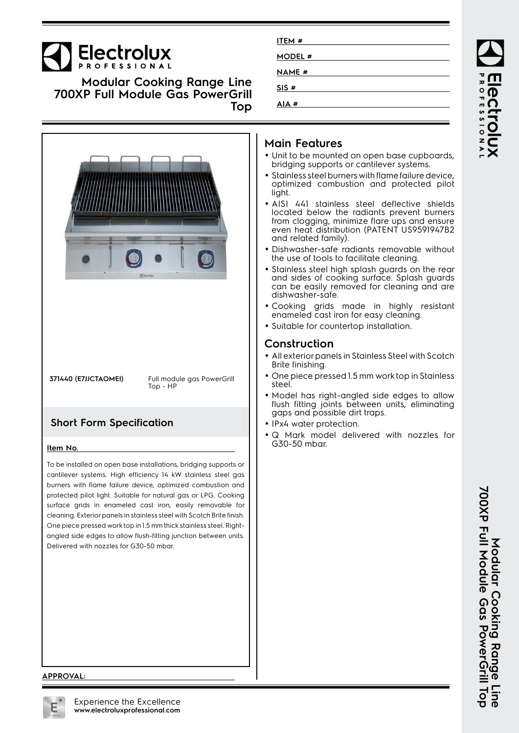# **Electrolux**

**Modular Cooking Range Line 700XP Full Module Gas PowerGrill Top**



**371440 (E7JJCTAOMEI)** Full module gas PowerGrill Top - HP

## **Short Form Specification**

#### **Item No.**

To be installed on open base installations, bridging supports or cantilever systems. High efficiency 14 kW stainless steel gas burners with flame failure device, optimized combustion and protected pilot light. Suitable for natural gas or LPG. Cooking surface grids in enameled cast iron, easily removable for cleaning. Exterior panels in stainless steel with Scotch Brite finish. One piece pressed work top in 1.5 mm thick stainless steel. Rightangled side edges to allow flush-fitting junction between units. Delivered with nozzles for G30-50 mbar.

| ITEM #        |  |
|---------------|--|
| <b>MODEL#</b> |  |
| <b>NAME #</b> |  |
| SIS#          |  |
| AIA#          |  |
|               |  |

## **Main Features**

- Unit to be mounted on open base cupboards, bridging supports or cantilever systems.
- Stainless steel burners with flame failure device, optimized combustion and protected pilot light.
- AISI 441 stainless steel deflective shields located below the radiants prevent burners from clogging, minimize flare ups and ensure even heat distribution (PATENT US9591947B2 and related family).
- Dishwasher-safe radiants removable without the use of tools to facilitate cleaning.
- Stainless steel high splash guards on the rear and sides of cooking surface. Splash guards can be easily removed for cleaning and are dishwasher-safe.
- Cooking grids made in highly resistant enameled cast iron for easy cleaning.
- Suitable for countertop installation.

## **Construction**

- All exterior panels in Stainless Steel with Scotch Brite finishing.
- One piece pressed 1.5 mm work top in Stainless steel.
- Model has right-angled side edges to allow flush fitting joints between units, eliminating gaps and possible dirt traps.
- IPx4 water protection.
- • Q Mark model delivered with nozzles for G30-50 mbar.

#### **APPROVAL:**

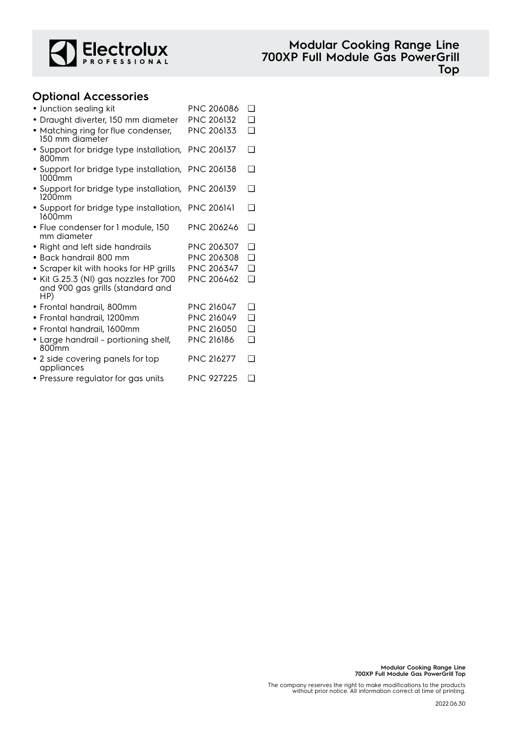

## **Optional Accessories**

| · Junction sealing kit                                                           | PNC 206086        | ◘      |
|----------------------------------------------------------------------------------|-------------------|--------|
| • Draught diverter, 150 mm diameter                                              | PNC 206132        | ❏      |
| • Matching ring for flue condenser,<br>150 mm diameter                           | PNC 206133        | $\Box$ |
| • Support for bridge type installation,<br>800mm                                 | PNC 206137        | ❏      |
| • Support for bridge type installation,<br>1000mm                                | PNC 206138        | $\Box$ |
| • Support for bridge type installation,<br>1200mm                                | PNC 206139        | ∩      |
| • Support for bridge type installation,<br>1600mm                                | <b>PNC 206141</b> | □      |
| • Flue condenser for 1 module, 150<br>mm diameter                                | PNC 206246        | □      |
| • Right and left side handrails                                                  | PNC 206307        | ∩      |
| · Back handrail 800 mm                                                           | PNC 206308        | ◘      |
| • Scraper kit with hooks for HP grills                                           | PNC 206347        | $\Box$ |
| • Kit G.25.3 (NI) gas nozzles for 700<br>and 900 gas grills (standard and<br>HP) | <b>PNC 206462</b> | $\Box$ |
| • Frontal handrail, 800mm                                                        | <b>PNC 216047</b> | ❏      |
| • Frontal handrail, 1200mm                                                       | PNC 216049        | $\Box$ |
| • Frontal handrail, 1600mm                                                       | PNC 216050        | $\Box$ |
| • Large handrail - portioning shelf,<br>800mm                                    | PNC 216186        | $\Box$ |
| • 2 side covering panels for top<br>appliances                                   | PNC 216277        | ∩      |
| • Pressure regulator for gas units                                               | <b>PNC 927225</b> | □      |